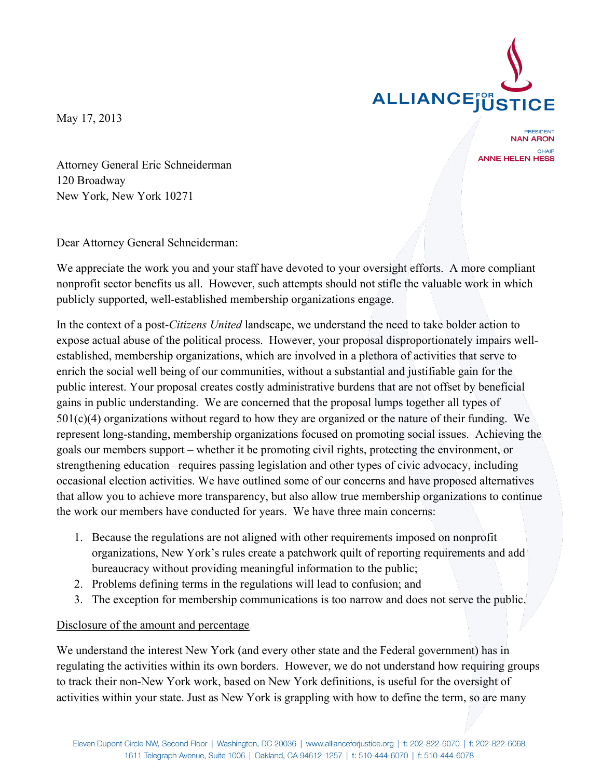

May 17, 2013

**PRESIDENT NAN ARON** CHAIR **ANNE HELEN HESS** 

Attorney General Eric Schneiderman 120 Broadway New York, New York 10271

Dear Attorney General Schneiderman:

We appreciate the work you and your staff have devoted to your oversight efforts. A more compliant nonprofit sector benefits us all. However, such attempts should not stifle the valuable work in which publicly supported, well-established membership organizations engage.

In the context of a post-*Citizens United* landscape, we understand the need to take bolder action to expose actual abuse of the political process. However, your proposal disproportionately impairs wellestablished, membership organizations, which are involved in a plethora of activities that serve to enrich the social well being of our communities, without a substantial and justifiable gain for the public interest. Your proposal creates costly administrative burdens that are not offset by beneficial gains in public understanding. We are concerned that the proposal lumps together all types of  $501(c)(4)$  organizations without regard to how they are organized or the nature of their funding. We represent long-standing, membership organizations focused on promoting social issues. Achieving the goals our members support – whether it be promoting civil rights, protecting the environment, or strengthening education –requires passing legislation and other types of civic advocacy, including occasional election activities. We have outlined some of our concerns and have proposed alternatives that allow you to achieve more transparency, but also allow true membership organizations to continue the work our members have conducted for years. We have three main concerns:

- 1. Because the regulations are not aligned with other requirements imposed on nonprofit organizations, New York's rules create a patchwork quilt of reporting requirements and add bureaucracy without providing meaningful information to the public;
- 2. Problems defining terms in the regulations will lead to confusion; and
- 3. The exception for membership communications is too narrow and does not serve the public.

## Disclosure of the amount and percentage

We understand the interest New York (and every other state and the Federal government) has in regulating the activities within its own borders. However, we do not understand how requiring groups to track their non-New York work, based on New York definitions, is useful for the oversight of activities within your state. Just as New York is grappling with how to define the term, so are many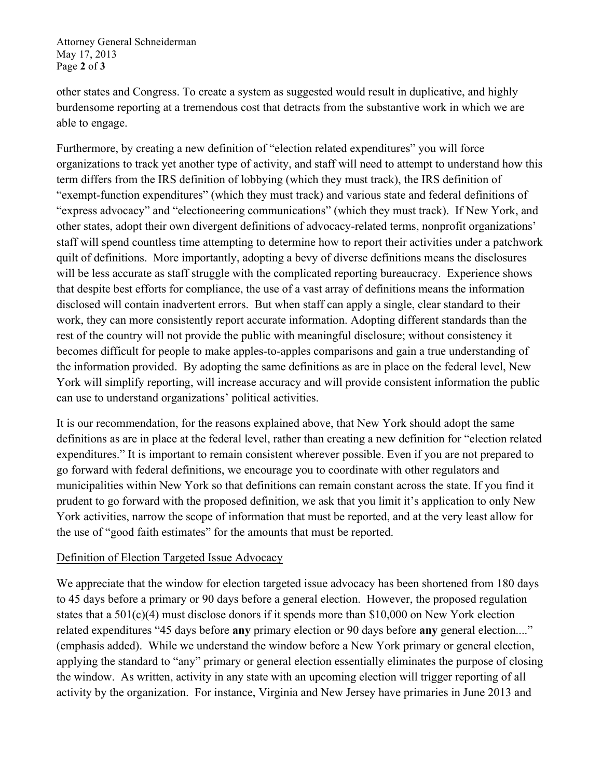Attorney General Schneiderman May 17, 2013 Page **2** of **3**

other states and Congress. To create a system as suggested would result in duplicative, and highly burdensome reporting at a tremendous cost that detracts from the substantive work in which we are able to engage.

Furthermore, by creating a new definition of "election related expenditures" you will force organizations to track yet another type of activity, and staff will need to attempt to understand how this term differs from the IRS definition of lobbying (which they must track), the IRS definition of "exempt-function expenditures" (which they must track) and various state and federal definitions of "express advocacy" and "electioneering communications" (which they must track). If New York, and other states, adopt their own divergent definitions of advocacy-related terms, nonprofit organizations' staff will spend countless time attempting to determine how to report their activities under a patchwork quilt of definitions. More importantly, adopting a bevy of diverse definitions means the disclosures will be less accurate as staff struggle with the complicated reporting bureaucracy. Experience shows that despite best efforts for compliance, the use of a vast array of definitions means the information disclosed will contain inadvertent errors. But when staff can apply a single, clear standard to their work, they can more consistently report accurate information. Adopting different standards than the rest of the country will not provide the public with meaningful disclosure; without consistency it becomes difficult for people to make apples-to-apples comparisons and gain a true understanding of the information provided. By adopting the same definitions as are in place on the federal level, New York will simplify reporting, will increase accuracy and will provide consistent information the public can use to understand organizations' political activities.

It is our recommendation, for the reasons explained above, that New York should adopt the same definitions as are in place at the federal level, rather than creating a new definition for "election related expenditures." It is important to remain consistent wherever possible. Even if you are not prepared to go forward with federal definitions, we encourage you to coordinate with other regulators and municipalities within New York so that definitions can remain constant across the state. If you find it prudent to go forward with the proposed definition, we ask that you limit it's application to only New York activities, narrow the scope of information that must be reported, and at the very least allow for the use of "good faith estimates" for the amounts that must be reported.

## Definition of Election Targeted Issue Advocacy

We appreciate that the window for election targeted issue advocacy has been shortened from 180 days to 45 days before a primary or 90 days before a general election. However, the proposed regulation states that a 501(c)(4) must disclose donors if it spends more than \$10,000 on New York election related expenditures "45 days before **any** primary election or 90 days before **any** general election...." (emphasis added). While we understand the window before a New York primary or general election, applying the standard to "any" primary or general election essentially eliminates the purpose of closing the window. As written, activity in any state with an upcoming election will trigger reporting of all activity by the organization. For instance, Virginia and New Jersey have primaries in June 2013 and